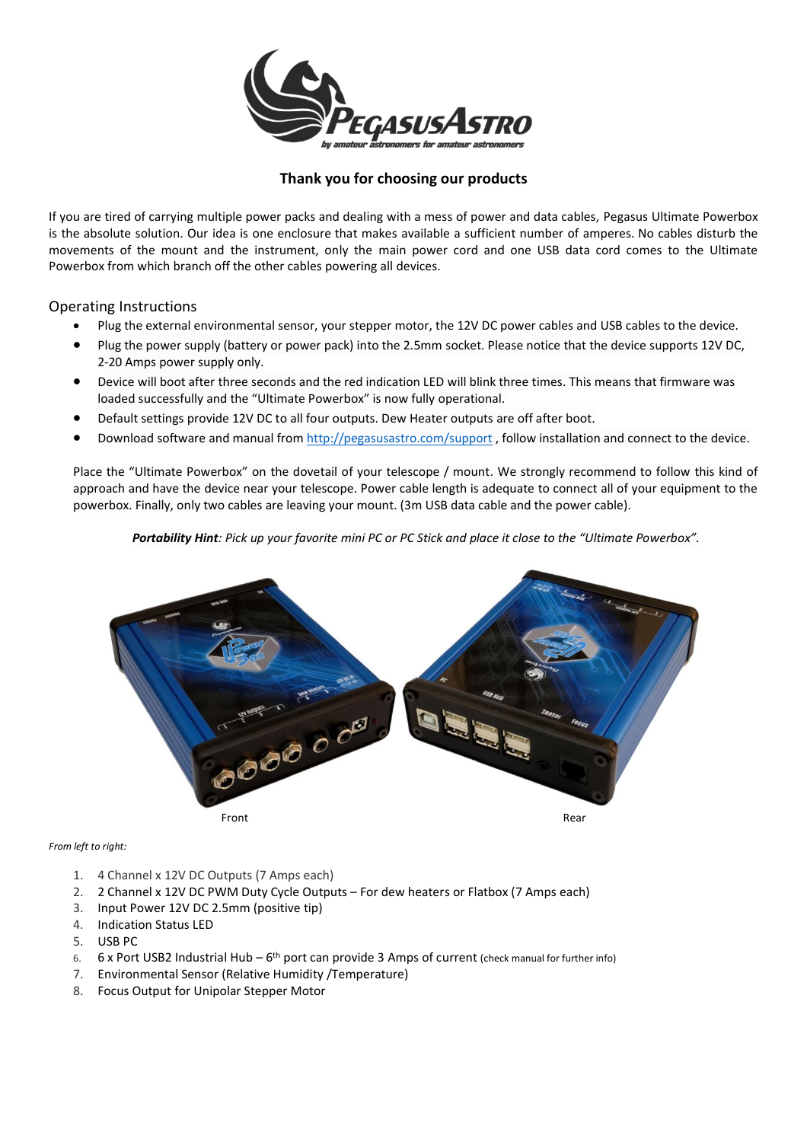

## **Thank you for choosing our products**

If you are tired of carrying multiple power packs and dealing with a mess of power and data cables, Pegasus Ultimate Powerbox is the absolute solution. Our idea is one enclosure that makes available a sufficient number of amperes. No cables disturb the movements of the mount and the instrument, only the main power cord and one USB data cord comes to the Ultimate Powerbox from which branch off the other cables powering all devices.

## Operating Instructions

- Plug the external environmental sensor, your stepper motor, the 12V DC power cables and USB cables to the device.
- Plug the power supply (battery or power pack) into the 2.5mm socket. Please notice that the device supports 12V DC, 2-20 Amps power supply only.
- Device will boot after three seconds and the red indication LED will blink three times. This means that firmware was loaded successfully and the "Ultimate Powerbox" is now fully operational.
- Default settings provide 12V DC to all four outputs. Dew Heater outputs are off after boot.
- Download software and manual from<http://pegasusastro.com/support> , follow installation and connect to the device.

Place the "Ultimate Powerbox" on the dovetail of your telescope / mount. We strongly recommend to follow this kind of approach and have the device near your telescope. Power cable length is adequate to connect all of your equipment to the powerbox. Finally, only two cables are leaving your mount. (3m USB data cable and the power cable).

*Portability Hint: Pick up your favorite mini PC or PC Stick and place it close to the "Ultimate Powerbox".*



*From left to right:*

- 1. 4 Channel x 12V DC Outputs (7 Amps each)
- 2. 2 Channel x 12V DC PWM Duty Cycle Outputs For dew heaters or Flatbox (7 Amps each)
- 3. Input Power 12V DC 2.5mm (positive tip)
- 4. Indication Status LED
- 5. USB PC
- 6. 6 x Port USB2 Industrial Hub  $6^{th}$  port can provide 3 Amps of current (check manual for further info)
- 7. Environmental Sensor (Relative Humidity /Temperature)
- 8. Focus Output for Unipolar Stepper Motor